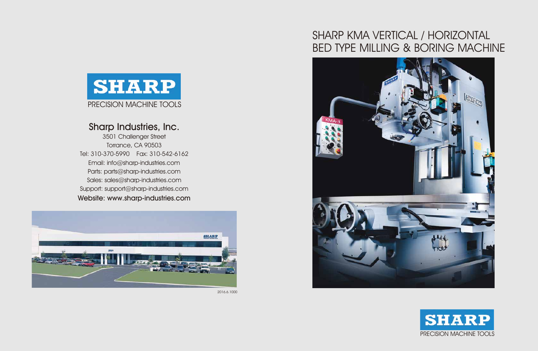## Sharp Industries, Inc.

Email: info@sharp-industries.com 3501 Challenger Street Torrance, CA 90503 Tel: 310-370-5990 Fax: 310-542-6162 Parts: parts@sharp-industries.com Sales: sales@sharp-industries.com Support: support@sharp-industries.com Website: www.sharp-industries.com









# SHARP KMA VERTICAL / HORIZONTAL BED TYPE MILLING & BORING MACHINE

2016.6.1000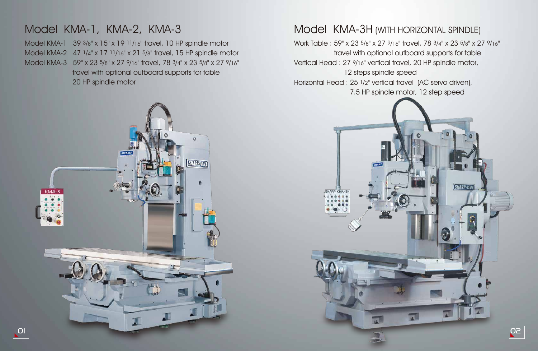







# Model KMA-1, KMA-2, KMA-3 Model KMA-3H (WITH HORIZONTAL SPINDLE)

Model KMA-1 39 3/8" x 15" x 19 11/16" travel, 10 HP spindle motor Model KMA-2 47 1/4" x 17 11/16" x 21 5/8" travel, 15 HP spindle motor Model KMA-3 59" x 23 5/8" x 27 9/16" travel, 78 3/4" x 23 5/8" x 27 9/16" travel with optional outboard supports for table 20 HP spindle motor

Work Table : 59" x 23 5/8" x 27 9/16" travel, 78 3/4" x 23 5/8" x 27 9/16" travel with optional outboard supports for table Vertical Head : 27 9/16" vertical travel, 20 HP spindle motor, 12 steps spindle speed Horizontal Head : 25 1/2" vertical travel (AC servo driven), 7.5 HP spindle motor, 12 step speed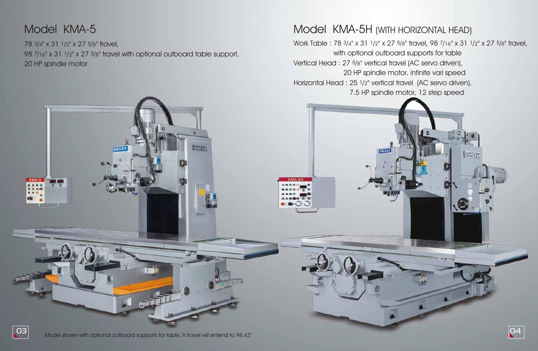# Model KMA-5 Model KMA-5H (WITH HORIZONTAL HEAD)

**SHARP** 

78 3/4" x 31 1/2" x 27 5/8" travel, 98 7/16" x 31 1/2" x 27 5/8" travel with optional outboard table support, 20 HP spindle motor

SHARI

HARP-KW1



Work Table : 78 3/4" x 31 1/2" x 27 5/8" travel, 98 7/16" x 31 1/2" x 27 5/8" travel, with optional outboard supports for table Vertical Head : 27 5/8" vertical travel (AC servo driven), 20 HP spindle motor, infinite vari speed Horizontal Head : 25 1/2" vertical travel (AC servo driven), 7.5 HP spindle motor, 12 step speed

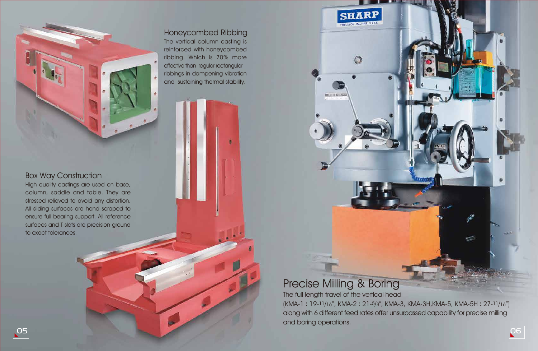# Precise Milling & Boring

**SHARP** 

 $\bigcirc$ 

The full length travel of the vertical head (KMA-1 : 19-11/16", KMA-2 : 21-5/8", KMA-3, KMA-3H,KMA-5, KMA-5H : 27-11/16") along with 6 different feed rates offer unsurpassed capability for precise milling and boring operations.



## Box Way Construction

High quality castings are used on base, column, saddle and table. They are stressed relieved to avoid any distortion. All sliding surfaces are hand scraped to ensure full bearing support. All reference surfaces and T slots are precision ground to exact tolerances.



### Honeycombed Ribbing The vertical column casting is reinforced with honeycombed ribbing. Which is 70% more effective than regular rectangular ribbings in dampening vibration and sustaining thermal stability.

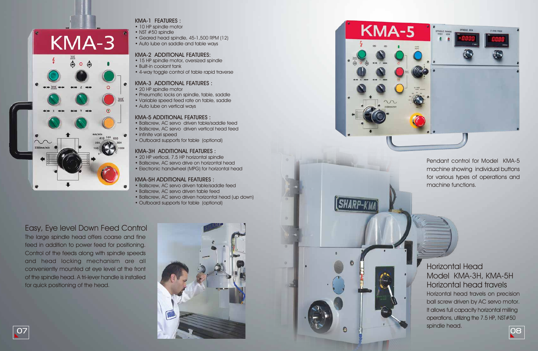

## Easy, Eye level Down Feed Control

- 10 HP spindle motor
- NST #50 spindle
- Geared head spindle, 45-1,500 RPM (12)
- Auto lube on saddle and table ways

The large spindle head offers coarse and fine feed in addition to power feed for positioning. Control of the feeds along with spindle speeds and head locking mechanism are all conveniently mounted at eye level at the front of the spindle head. A tri-lever handle is installed for quick positioning of the head.





### KMA-1 FEATURES :

- 20 HP vertical, 7.5 HP horizontal spindle
- Ballscrew, AC servo drive on horizontal head
- Electronic handwheel (MPG) for horizontal head

#### KMA-2 ADDITIONAL FEATURES:

- 15 HP spindle motor, oversized spindle
- Built-in coolant tank
- 4-way toggle control of table rapid traverse

#### KMA-3 ADDITIONAL FEATURES :

- 20 HP spindle motor
- Pneumatic locks on spindle, table, saddle
- Variable speed feed rate on table, saddle
- Auto lube on vertical ways

#### KMA-5 ADDITIONAL FEATURES :

- Ballscrew, AC servo driven table/saddle feed
- Ballscrew, AC servo driven vertical head feed
- infinite vari speed
- Outboard supports for table (optional)

#### KMA-3H ADDITIONAL FEATURES :

#### KMA-5H ADDITIONAL FEATURES :

- Ballscrew, AC servo driven table/saddle feed
- Ballscrew, AC servo driven table feed
- Ballscrew, AC servo driven horizontal head (up down)
- Outboard supports for table (optional)